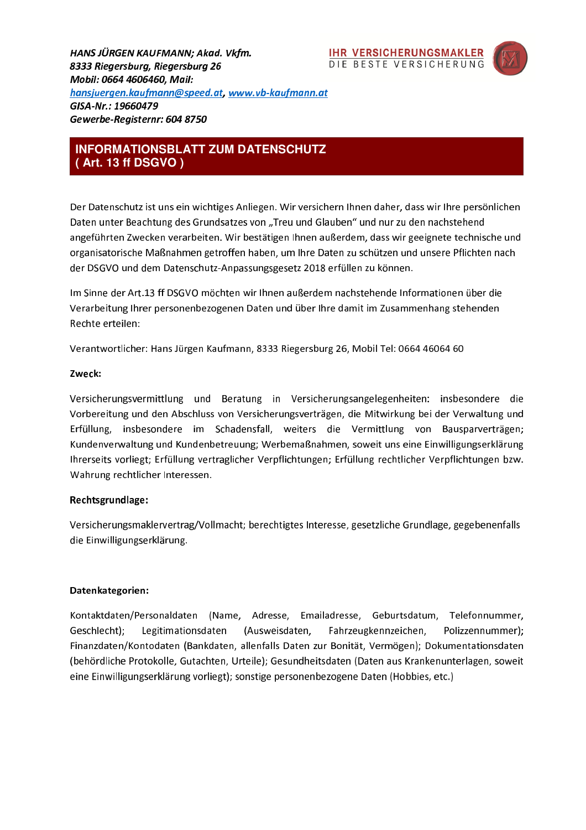HANS JÜRGEN KAUFMANN: Akad. Vkfm. 8333 Riegersburg, Riegersburg 26 Mobil: 0664 4606460. Mail: hansjuergen.kaufmann@speed.at, www.vb-kaufmann.at GISA-Nr.: 19660479 Gewerbe-Reaisternr: 604 8750





# **INFORMATIONSBLATT ZUM DATENSCHUTZ** (Art. 13 ff DSGVO)

Der Datenschutz ist uns ein wichtiges Anliegen. Wir versichern Ihnen daher, dass wir Ihre persönlichen Daten unter Beachtung des Grundsatzes von "Treu und Glauben" und nur zu den nachstehend angeführten Zwecken verarbeiten. Wir bestätigen Ihnen außerdem, dass wir geeignete technische und organisatorische Maßnahmen getroffen haben, um Ihre Daten zu schützen und unsere Pflichten nach der DSGVO und dem Datenschutz-Anpassungsgesetz 2018 erfüllen zu können.

Im Sinne der Art.13 ff DSGVO möchten wir Ihnen außerdem nachstehende Informationen über die Verarbeitung Ihrer personenbezogenen Daten und über Ihre damit im Zusammenhang stehenden Rechte erteilen:

Verantwortlicher: Hans Jürgen Kaufmann, 8333 Riegersburg 26, Mobil Tel: 0664 46064 60

#### Zweck:

Versicherungsvermittlung und Beratung in Versicherungsangelegenheiten: insbesondere die Vorbereitung und den Abschluss von Versicherungsverträgen, die Mitwirkung bei der Verwaltung und Erfüllung, insbesondere im Schadensfall, weiters die Vermittlung von Bausparverträgen; Kundenverwaltung und Kundenbetreuung; Werbemaßnahmen, soweit uns eine Einwilligungserklärung Ihrerseits vorliegt; Erfüllung vertraglicher Verpflichtungen; Erfüllung rechtlicher Verpflichtungen bzw. Wahrung rechtlicher Interessen.

## Rechtsgrundlage:

Versicherungsmaklervertrag/Vollmacht; berechtigtes Interesse, gesetzliche Grundlage, gegebenenfalls die Einwilligungserklärung.

## Datenkategorien:

Kontaktdaten/Personaldaten (Name, Adresse, Emailadresse, Geburtsdatum, Telefonnummer, Geschlecht); Legitimationsdaten (Ausweisdaten, Fahrzeugkennzeichen, Polizzennummer); Finanzdaten/Kontodaten (Bankdaten, allenfalls Daten zur Bonität, Vermögen); Dokumentationsdaten (behördliche Protokolle, Gutachten, Urteile); Gesundheitsdaten (Daten aus Krankenunterlagen, soweit eine Einwilligungserklärung vorliegt); sonstige personenbezogene Daten (Hobbies, etc.)